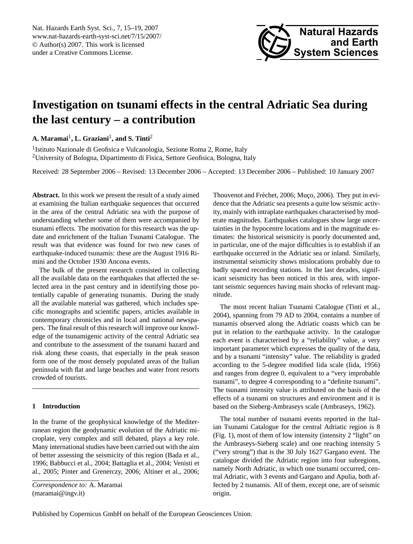<span id="page-0-0"></span>Nat. Hazards Earth Syst. Sci., 7, 15–19, 2007 www.nat-hazards-earth-syst-sci.net/7/15/2007/ © Author(s) 2007. This work is licensed under a Creative Commons License.



# **Investigation on tsunami effects in the central Adriatic Sea during the last century – a contribution**

**A. Maramai**<sup>1</sup> **, L. Graziani**<sup>1</sup> **, and S. Tinti**<sup>2</sup>

<sup>1</sup>Istituto Nazionale di Geofisica e Vulcanologia, Sezione Roma 2, Rome, Italy <sup>2</sup>University of Bologna, Dipartimento di Fisica, Settore Geofisica, Bologna, Italy

Received: 28 September 2006 – Revised: 13 December 2006 – Accepted: 13 December 2006 – Published: 10 January 2007

**Abstract.** In this work we present the result of a study aimed at examining the Italian earthquake sequences that occurred in the area of the central Adriatic sea with the purpose of understanding whether some of them were accompanied by tsunami effects. The motivation for this research was the update and enrichment of the Italian Tsunami Catalogue. The result was that evidence was found for two new cases of earthquake-induced tsunamis: these are the August 1916 Rimini and the October 1930 Ancona events.

The bulk of the present research consisted in collecting all the available data on the earthquakes that affected the selected area in the past century and in identifying those potentially capable of generating tsunamis. During the study all the available material was gathered, which includes specific monographs and scientific papers, articles available in contemporary chronicles and in local and national newspapers. The final result of this research will improve our knowledge of the tsunamigenic activity of the central Adriatic sea and contribute to the assessment of the tsunami hazard and risk along these coasts, that especially in the peak season form one of the most densely populated areas of the Italian peninsula with flat and large beaches and water front resorts crowded of tourists.

# **1 Introduction**

In the frame of the geophysical knowledge of the Mediterranean region the geodynamic evolution of the Adriatic microplate, very complex and still debated, plays a key role. Many international studies have been carried out with the aim of better assessing the seismicity of this region (Bada et al., 1996; Babbucci et al., 2004; Battaglia et al., 2004; Venisti et al., 2005; Pinter and Grenerczy, 2006; Altiner et al., 2006;

*Correspondence to:* A. Maramai (maramai@ingv.it)

Thouvenot and Fréchet, 2006; Muço, 2006). They put in evidence that the Adriatic sea presents a quite low seismic activity, mainly with intraplate earthquakes characterised by moderate magnitudes. Earthquakes catalogues show large uncertainties in the hypocentre locations and in the magnitude estimates: the historical seismicity is poorly documented and, in particular, one of the major difficulties is to establish if an earthquake occurred in the Adriatic sea or inland. Similarly, instrumental seismicity shows mislocations probably due to badly spaced recording stations. In the last decades, significant seismicity has been noticed in this area, with important seismic sequences having main shocks of relevant magnitude.

The most recent Italian Tsunami Catalogue (Tinti et al., 2004), spanning from 79 AD to 2004, contains a number of tsunamis observed along the Adriatic coasts which can be put in relation to the earthquake activity. In the catalogue each event is characterised by a "reliability" value, a very important parameter which expresses the quality of the data, and by a tsunami "intensity" value. The reliability is graded according to the 5-degree modified Iida scale (Iida, 1956) and ranges from degree 0, equivalent to a "very improbable tsunami", to degree 4 corresponding to a "definite tsunami". The tsunami intensity value is attributed on the basis of the effects of a tsunami on structures and environment and it is based on the Sieberg-Ambraseys scale (Ambraseys, 1962).

The total number of tsunami events reported in the Italian Tsunami Catalogue for the central Adriatic region is 8 (Fig. 1), most of them of low intensity (intensity 2 "light" on the Ambraseys-Sieberg scale) and one reaching intensity 5 ("very strong") that is the 30 July 1627 Gargano event. The catalogue divided the Adriatic region into four subregions, namely North Adriatic, in which one tsunami occurred, central Adriatic, with 3 events and Gargano and Apulia, both affected by 2 tsunamis. All of them, except one, are of seismic origin.

Published by Copernicus GmbH on behalf of the European Geosciences Union.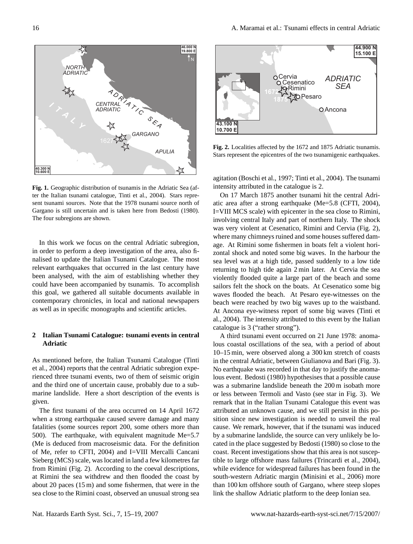Cesenatico ADNI<br>ORimini SE

Pesaro

*--* **SEA** 

15.100 E 44.900 N

Ancona

**Fig. 1.** Geographic distribution of tsunamis in the Adriatic Sea (after the Italian tsunami catalogue, Tinti et al., 2004). Stars represent tsunami sources. Note that the 1978 tsunami source north of Gargano is still uncertain and is taken here from Bedosti (1980). The four subregions are shown.

In this work we focus on the central Adriatic subregion, in order to perform a deep investigation of the area, also finalised to update the Italian Tsunami Catalogue. The most relevant earthquakes that occurred in the last century have been analysed, with the aim of establishing whether they could have been accompanied by tsunamis. To accomplish this goal, we gathered all suitable documents available in contemporary chronicles, in local and national newspapers as well as in specific monographs and scientific articles.

## **2 Italian Tsunami Catalogue: tsunami events in central Adriatic**

As mentioned before, the Italian Tsunami Catalogue (Tinti et al., 2004) reports that the central Adriatic subregion experienced three tsunami events, two of them of seismic origin and the third one of uncertain cause, probably due to a submarine landslide. Here a short description of the events is given.

The first tsunami of the area occurred on 14 April 1672 when a strong earthquake caused severe damage and many fatalities (some sources report 200, some others more than 500). The earthquake, with equivalent magnitude Me=5.7 (Me is deduced from macroseismic data. For the definition of Me, refer to CFTI, 2004) and I=VIII Mercalli Cancani Sieberg (MCS) scale, was located in land a few kilometres far from Rimini (Fig. 2). According to the coeval descriptions, at Rimini the sea withdrew and then flooded the coast by about 20 paces (15 m) and some fishermen, that were in the sea close to the Rimini coast, observed an unusual strong sea



Cervia

672  $875$ 

10.700 E 43.100 N **>**Rimini

agitation (Boschi et al., 1997; Tinti et al., 2004). The tsunami intensity attributed in the catalogue is 2.

On 17 March 1875 another tsunami hit the central Adriatic area after a strong earthquake (Me=5.8 (CFTI, 2004), I=VIII MCS scale) with epicenter in the sea close to Rimini, involving central Italy and part of northern Italy. The shock was very violent at Cesenatico, Rimini and Cervia (Fig. 2), where many chimneys ruined and some houses suffered damage. At Rimini some fishermen in boats felt a violent horizontal shock and noted some big waves. In the harbour the sea level was at a high tide, passed suddenly to a low tide returning to high tide again 2 min later. At Cervia the sea violently flooded quite a large part of the beach and some sailors felt the shock on the boats. At Cesenatico some big waves flooded the beach. At Pesaro eye-witnesses on the beach were reached by two big waves up to the waistband. At Ancona eye-witness report of some big waves (Tinti et al., 2004). The intensity attributed to this event by the Italian catalogue is 3 ("rather strong").

A third tsunami event occurred on 21 June 1978: anomalous coastal oscillations of the sea, with a period of about 10–15 min, were observed along a 300 km stretch of coasts in the central Adriatic, between Giulianova and Bari (Fig. 3). No earthquake was recorded in that day to justify the anomalous event. Bedosti (1980) hypothesises that a possible cause was a submarine landslide beneath the 200 m isobath more or less between Termoli and Vasto (see star in Fig. 3). We remark that in the Italian Tsunami Catalogue this event was attributed an unknown cause, and we still persist in this position since new investigation is needed to unveil the real cause. We remark, however, that if the tsunami was induced by a submarine landslide, the source can very unlikely be located in the place suggested by Bedosti (1980) so close to the coast. Recent investigations show that this area is not susceptible to large offshore mass failures (Trincardi et al., 2004), while evidence for widespread failures has been found in the south-western Adriatic margin (Minisini et al., 2006) more than 100 km offshore south of Gargano, where steep slopes link the shallow Adriatic platform to the deep Ionian sea.



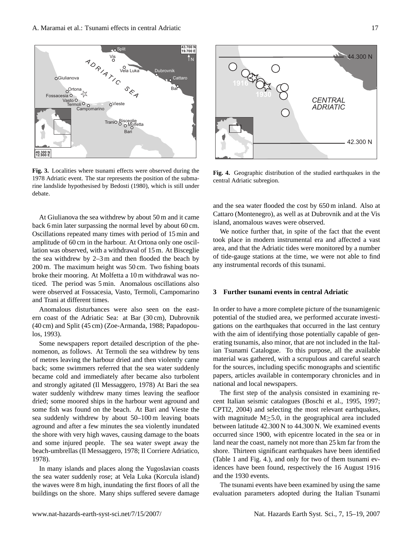

**Fig. 3.** Localities where tsunami effects were observed during the 1978 Adriatic event. The star represents the position of the submarine landslide hypothesised by Bedosti (1980), which is still under debate.

At Giulianova the sea withdrew by about 50 m and it came back 6 min later surpassing the normal level by about 60 cm. Oscillations repeated many times with period of 15 min and amplitude of 60 cm in the harbour. At Ortona only one oscillation was observed, with a withdrawal of 15 m. At Bisceglie the sea withdrew by 2–3 m and then flooded the beach by 200 m. The maximum height was 50 cm. Two fishing boats broke their mooring. At Molfetta a 10 m withdrawal was noticed. The period was 5 min. Anomalous oscillations also were observed at Fossacesia, Vasto, Termoli, Campomarino and Trani at different times.

Anomalous disturbances were also seen on the eastern coast of the Adriatic Sea: at Bar (30 cm), Dubrovnik (40 cm) and Split (45 cm) (Zoe-Armanda, 1988; Papadopoulos, 1993).

Some newspapers report detailed description of the phenomenon, as follows. At Termoli the sea withdrew by tens of metres leaving the harbour dried and then violently came back; some swimmers referred that the sea water suddenly became cold and immediately after became also turbolent and strongly agitated (Il Messaggero, 1978) At Bari the sea water suddenly withdrew many times leaving the seafloor dried; some moored ships in the harbour went aground and some fish was found on the beach. At Bari and Vieste the sea suddenly withdrew by about 50–100 m leaving boats aground and after a few minutes the sea violently inundated the shore with very high waves, causing damage to the boats and some injured people. The sea water swept away the beach-umbrellas (Il Messaggero, 1978; Il Corriere Adriatico, 1978).

In many islands and places along the Yugoslavian coasts the sea water suddenly rose; at Vela Luka (Korcula island) the waves were 8 m high, inundating the first floors of all the buildings on the shore. Many ships suffered severe damage



**Fig. 4.** Geographic distribution of the studied earthquakes in the central Adriatic subregion.

and the sea water flooded the cost by 650 m inland. Also at Cattaro (Montenegro), as well as at Dubrovnik and at the Vis island, anomalous waves were observed.

We notice further that, in spite of the fact that the event took place in modern instrumental era and affected a vast area, and that the Adriatic tides were monitored by a number of tide-gauge stations at the time, we were not able to find any instrumental records of this tsunami.

#### **3 Further tsunami events in central Adriatic**

In order to have a more complete picture of the tsunamigenic potential of the studied area, we performed accurate investigations on the earthquakes that occurred in the last century with the aim of identifying those potentially capable of generating tsunamis, also minor, that are not included in the Italian Tsunami Catalogue. To this purpose, all the available material was gathered, with a scrupulous and careful search for the sources, including specific monographs and scientific papers, articles available in contemporary chronicles and in national and local newspapers.

The first step of the analysis consisted in examining recent Italian seismic catalogues (Boschi et al., 1995, 1997; CPTI2, 2004) and selecting the most relevant earthquakes, with magnitude  $M \geq 5.0$ , in the geographical area included between latitude 42.300 N to 44.300 N. We examined events occurred since 1900, with epicentre located in the sea or in land near the coast, namely not more than 25 km far from the shore. Thirteen significant earthquakes have been identified (Table 1 and Fig. 4.), and only for two of them tsunami evidences have been found, respectively the 16 August 1916 and the 1930 events.

The tsunami events have been examined by using the same evaluation parameters adopted during the Italian Tsunami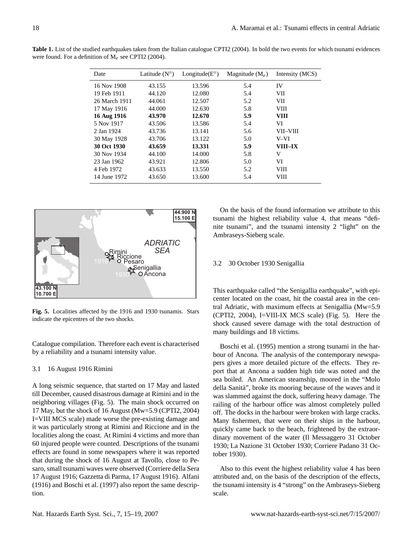| Date          | Latitude $(N^{\circ})$ | Longitude $(E^{\circ})$ | Magnitude $(M_e)$ | Intensity (MCS) |
|---------------|------------------------|-------------------------|-------------------|-----------------|
| 16 Nov 1908   | 43.155                 | 13.596                  | 5.4               | IV              |
| 19 Feb 1911   | 44.120                 | 12.080                  | 5.4               | VІІ             |
| 26 March 1911 | 44.061                 | 12.507                  | 5.2               | VII             |
| 17 May 1916   | 44.000                 | 12.630                  | 5.8               | VIII            |
| 16 Aug 1916   | 43.970                 | 12.670                  | 5.9               | <b>VIII</b>     |
| 5 Nov 1917    | 43.506                 | 13.586                  | 5.4               | VI              |
| 2 Jan 1924    | 43.736                 | 13.141                  | 5.6               | VII-VIII        |
| 30 May 1928   | 43.706                 | 13.122                  | 5.0               | V-VI            |
| 30 Oct 1930   | 43.659                 | 13.331                  | 5.9               | VIII–IX         |
| 30 Nov 1934   | 44.100                 | 14.000                  | 5.8               | V               |
| 23 Jan 1962   | 43.921                 | 12.806                  | 5.0               | VI              |
| 4 Feb 1972    | 43.633                 | 13.550                  | 5.2               | VШ              |
| 14 June 1972  | 43.650                 | 13.600                  | 5.4               | VШ              |

**Table 1.** List of the studied earthquakes taken from the Italian catalogue CPTI2 (2004). In bold the two events for which tsunami evidences were found. For a definition of  $M_e$  see CPTI2 (2004).



**Fig. 5.** Localities affected by the 1916 and 1930 tsunamis. Stars indicate the epicentres of the two shocks.

Catalogue compilation. Therefore each event is characterised by a reliability and a tsunami intensity value.

# 3.1 16 August 1916 Rimini

A long seismic sequence, that started on 17 May and lasted till December, caused disastrous damage at Rimini and in the neighboring villages (Fig. 5). The main shock occurred on 17 May, but the shock of 16 August (Mw=5.9 (CPTI2, 2004) I=VIII MCS scale) made worse the pre-existing damage and it was particularly strong at Rimini and Riccione and in the localities along the coast. At Rimini 4 victims and more than 60 injured people were counted. Descriptions of the tsunami effects are found in some newspapers where it was reported that during the shock of 16 August at Tavollo, close to Pesaro, small tsunami waves were observed (Corriere della Sera 17 August 1916; Gazzetta di Parma, 17 August 1916). Alfani (1916) and Boschi et al. (1997) also report the same description.

On the basis of the found information we attribute to this tsunami the highest reliability value 4, that means "definite tsunami", and the tsunami intensity 2 "light" on the Ambraseys-Sieberg scale.

# 3.2 30 October 1930 Senigallia

This earthquake called "the Senigallia earthquake", with epicenter located on the coast, hit the coastal area in the central Adriatic, with maximum effects at Senigallia (Mw=5.9 (CPTI2, 2004), I=VIII-IX MCS scale) (Fig. 5). Here the shock caused severe damage with the total destruction of many buildings and 18 victims.

Boschi et al. (1995) mention a strong tsunami in the harbour of Ancona. The analysis of the contemporary newspapers gives a more detailed picture of the effects. They report that at Ancona a sudden high tide was noted and the sea boiled. An American steamship, moored in the "Molo della Sanita", broke its mooring because of the waves and it ` was slammed against the dock, suffering heavy damage. The railing of the harbour office was almost completely pulled off. The docks in the harbour were broken with large cracks. Many fishermen, that were on their ships in the harbour, quickly came back to the beach, frightened by the extraordinary movement of the water (Il Messaggero 31 October 1930; La Nazione 31 October 1930; Corriere Padano 31 October 1930).

Also to this event the highest reliability value 4 has been attributed and, on the basis of the description of the effects, the tsunami intensity is 4 "strong" on the Ambraseys-Sieberg scale.